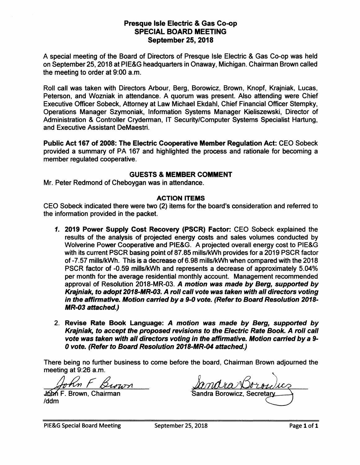## **Presque Isle Electric** & **Gas Co-op SPECIAL BOARD MEETING September 25, 2018**

A special meeting of the Board of Directors of Presque Isle Electric & Gas Co-op was held on September 25, 2018 at PIE&G headquarters in Onaway, Michigan. Chairman Brown called the meeting to order at 9:00 a.m.

Roll call was taken with Directors Arbour, Berg, Borowicz, Brown, Knopf, Krajniak, Lucas, Peterson, and Wozniak in attendance. A quorum was present. Also attending were Chief Executive Officer Sobeck, Attorney at Law Michael Ekdahl, Chief Financial Officer Stempky, Operations Manager Szymoniak, Information Systems Manager Kieliszewski, Director of Administration & Controller Cryderman, IT Security/Computer Systems Specialist Hartung, and Executive Assistant DeMaestri.

**Public Act 167 of 2008: The Electric Cooperative Member Regulation Act:** CEO Sobeck provided a summary of PA 167 and highlighted the process and rationale for becoming a member regulated cooperative.

## **GUESTS** & **MEMBER COMMENT**

Mr. Peter Redmond of Cheboygan was in attendance.

### **ACTION ITEMS**

CEO Sobeck indicated there were two (2) items for the board's consideration and referred to the information provided in the packet.

- **1. 2019 Power Supply Cost Recovery (PSCR) Factor:** CEO Sobeck explained the results of the analysis of projected energy costs and sales volumes conducted by Wolverine Power Cooperative and PIE&G. A projected overall energy cost to PIE&G with its current PSCR basing point of 87 .85 mills/kWh provides for a 2019 PSCR factor of-7.57 mills/kWh. This is a decrease of6.98 mills/kWh when compared with the 2018 PSCR factor of -0.59 mills/kWh and represents a decrease of approximately 5.04% per month for the average residential monthly account. Management recommended approval of Resolution 2018-MR-03. **A motion was made by Berg, supported by**  Krajniak, to **adopt** 2018-MR-03. A roll call vote was taken with all directors voting in the affirmative. Motion carried bya 9-0 vote. (Refer to Board Resolution 2018- **MR-03** attached.)
- 2. Revise Rate Book Language: A motion was made by Berg, supported by **Krajniak, to accept the proposed revisions to the Electric Rate Book. A roll call vote was taken with all directors voting** in **the affirmative. Motion carried by a 9- 0 vote. (Refer to Board Resolution 2018-MR-04 attached.)**

There being no further business to come before the board, Chairman Brown adjourned the meeting at 9:26 a.m.

meeting at 9:26 a.m.<br> *Mohn F. Brown*, Chairman

/ddm

Sandra Borowicz. Secretary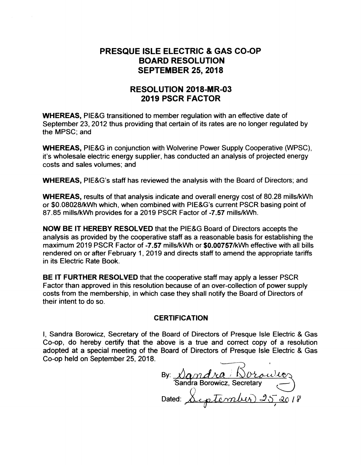# **PRESQUE ISLE ELECTRIC** & **GAS CO-OP BOARD RESOLUTION SEPTEMBER 25, 2018**

# **RESOLUTION 2018-MR-03 2019 PSCR FACTOR**

**WHEREAS,** PIE&G transitioned to member regulation with an effective date of September 23, 2012 thus providing that certain of its rates are no longer regulated by the MPSC; and

**WHEREAS,** PIE&G in conjunction with Wolverine Power Supply Cooperative (WPSC), it's wholesale electric energy supplier, has conducted an analysis of projected energy costs and sales volumes; and

**WHEREAS,** PIE&G's staff has reviewed the analysis with the Board of Directors; and

**WHEREAS,** results of that analysis indicate and overall energy cost of 80.28 mills/kWh or \$0.08028/kWh which, when combined with PIE&G's current PSCR basing point of 87.85 mills/kWh provides for a 2019 PSCR Factor of -7.57 mills/kWh.

**NOW BE IT HEREBY RESOLVED** that the PIE&G Board of Directors accepts the analysis as provided by the cooperative staff as a reasonable basis for establishing the maximum 2019 PSCR Factor of **-7.57** mills/kWh or **\$0.00757/kWh** effective with all bills rendered on or after February 1, 2019 and directs staff to amend the appropriate tariffs in its Electric Rate Book.

**BE IT FURTHER RESOLVED** that the cooperative staff may apply a lesser PSCR Factor than approved in this resolution because of an over-collection of power supply costs from the membership, in which case they shall notify the Board of Directors of their intent to do so.

#### **CERTIFICATION**

I, Sandra Borowicz, Secretary of the Board of Directors of Presque Isle Electric & Gas Co-op, do hereby certify that the above is a true and correct copy of a resolution adopted at a special meeting of the Board of Directors of Presque Isle Electric & Gas Co-op held on September 25, 2018.

By: <u>Nandra Worowicz</u><br>Sandra Borowicz, Secretary<br>Dated: <u>September 25, 20</u>18